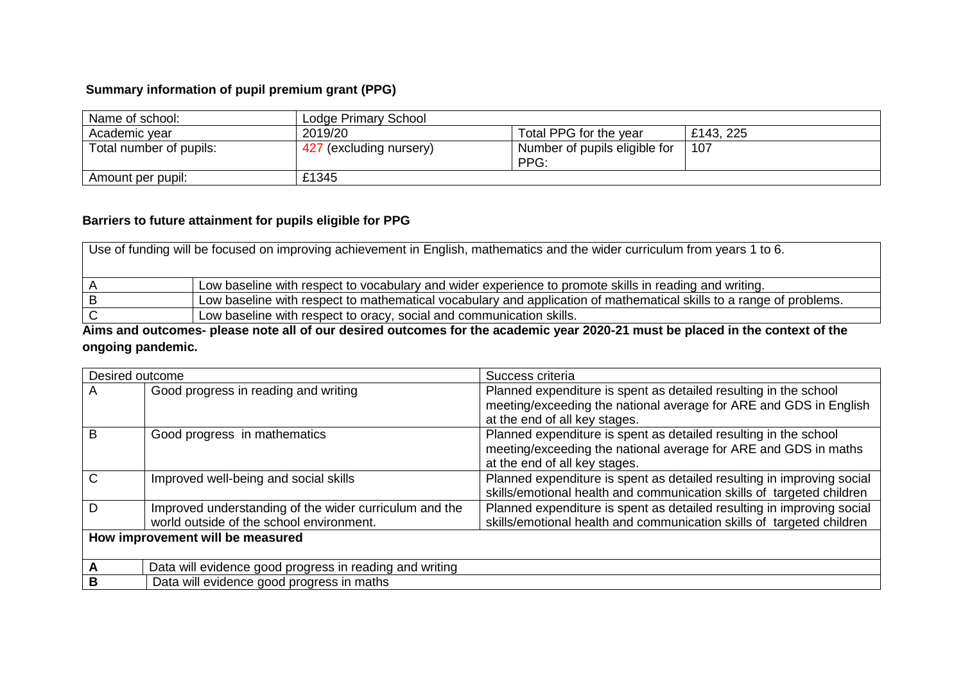## **Summary information of pupil premium grant (PPG)**

| Name of school:         | Lodge Primary School    |                                       |           |
|-------------------------|-------------------------|---------------------------------------|-----------|
| Academic vear           | 2019/20                 | Total PPG for the year                | £143, 225 |
| Total number of pupils: | 427 (excluding nursery) | Number of pupils eligible for<br>PPG: | 107       |
| Amount per pupil:       | £1345                   |                                       |           |

## **Barriers to future attainment for pupils eligible for PPG**

| Use of funding will be focused on improving achievement in English, mathematics and the wider curriculum from years 1 to 6. |                                                                                                                     |  |  |
|-----------------------------------------------------------------------------------------------------------------------------|---------------------------------------------------------------------------------------------------------------------|--|--|
|                                                                                                                             | Low baseline with respect to vocabulary and wider experience to promote skills in reading and writing.              |  |  |
|                                                                                                                             | Low baseline with respect to mathematical vocabulary and application of mathematical skills to a range of problems. |  |  |
|                                                                                                                             | Low baseline with respect to oracy, social and communication skills.                                                |  |  |

**Aims and outcomes- please note all of our desired outcomes for the academic year 2020-21 must be placed in the context of the ongoing pandemic.**

| Desired outcome |                                                                                                    | Success criteria                                                                                                                                                       |  |  |
|-----------------|----------------------------------------------------------------------------------------------------|------------------------------------------------------------------------------------------------------------------------------------------------------------------------|--|--|
| A               | Good progress in reading and writing                                                               | Planned expenditure is spent as detailed resulting in the school<br>meeting/exceeding the national average for ARE and GDS in English<br>at the end of all key stages. |  |  |
| B               | Good progress in mathematics                                                                       | Planned expenditure is spent as detailed resulting in the school<br>meeting/exceeding the national average for ARE and GDS in maths<br>at the end of all key stages.   |  |  |
| C               | Improved well-being and social skills                                                              | Planned expenditure is spent as detailed resulting in improving social<br>skills/emotional health and communication skills of targeted children                        |  |  |
| D               | Improved understanding of the wider curriculum and the<br>world outside of the school environment. | Planned expenditure is spent as detailed resulting in improving social<br>skills/emotional health and communication skills of targeted children                        |  |  |
|                 | How improvement will be measured                                                                   |                                                                                                                                                                        |  |  |
| А               | Data will evidence good progress in reading and writing                                            |                                                                                                                                                                        |  |  |
| в               | Data will evidence good progress in maths                                                          |                                                                                                                                                                        |  |  |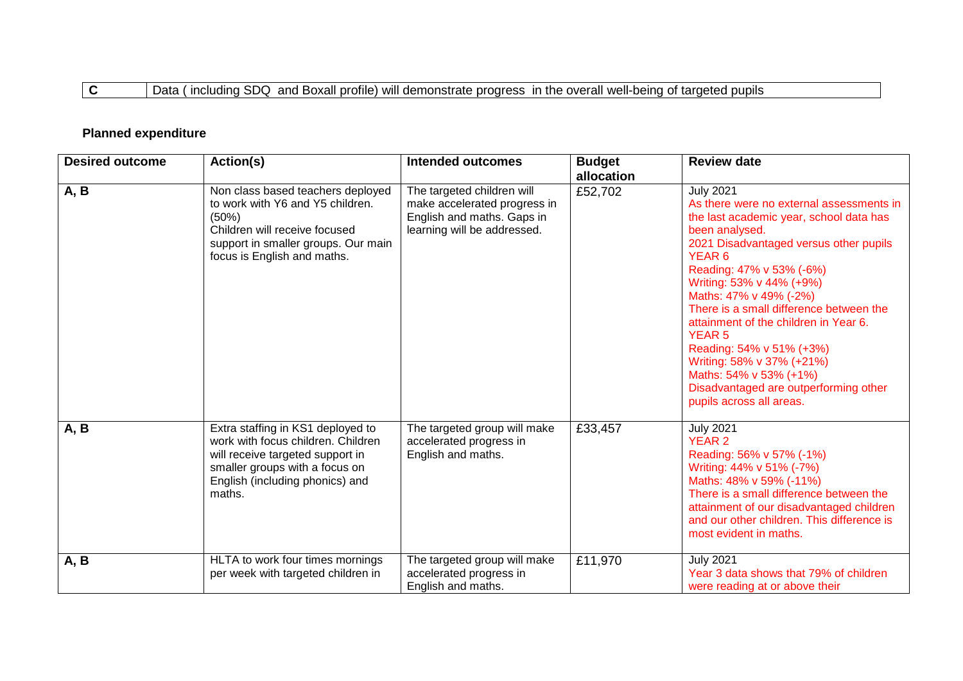## **C** Data ( including SDQ and Boxall profile) will demonstrate progress in the overall well-being of targeted pupils

## **Planned expenditure**

| <b>Desired outcome</b> | Action(s)                                                                                                                                                                                  | <b>Intended outcomes</b>                                                                                                | <b>Budget</b><br>allocation | <b>Review date</b>                                                                                                                                                                                                                                                                                                                                                                                                                                                                                                                      |
|------------------------|--------------------------------------------------------------------------------------------------------------------------------------------------------------------------------------------|-------------------------------------------------------------------------------------------------------------------------|-----------------------------|-----------------------------------------------------------------------------------------------------------------------------------------------------------------------------------------------------------------------------------------------------------------------------------------------------------------------------------------------------------------------------------------------------------------------------------------------------------------------------------------------------------------------------------------|
| A, B                   | Non class based teachers deployed<br>to work with Y6 and Y5 children.<br>(50%)<br>Children will receive focused<br>support in smaller groups. Our main<br>focus is English and maths.      | The targeted children will<br>make accelerated progress in<br>English and maths. Gaps in<br>learning will be addressed. | £52,702                     | <b>July 2021</b><br>As there were no external assessments in<br>the last academic year, school data has<br>been analysed.<br>2021 Disadvantaged versus other pupils<br>YEAR <sub>6</sub><br>Reading: 47% v 53% (-6%)<br>Writing: 53% v 44% (+9%)<br>Maths: 47% v 49% (-2%)<br>There is a small difference between the<br>attainment of the children in Year 6.<br><b>YEAR 5</b><br>Reading: 54% v 51% (+3%)<br>Writing: 58% v 37% (+21%)<br>Maths: 54% v 53% (+1%)<br>Disadvantaged are outperforming other<br>pupils across all areas. |
| A, B                   | Extra staffing in KS1 deployed to<br>work with focus children. Children<br>will receive targeted support in<br>smaller groups with a focus on<br>English (including phonics) and<br>maths. | The targeted group will make<br>accelerated progress in<br>English and maths.                                           | £33,457                     | <b>July 2021</b><br><b>YEAR 2</b><br>Reading: 56% v 57% (-1%)<br>Writing: 44% v 51% (-7%)<br>Maths: 48% v 59% (-11%)<br>There is a small difference between the<br>attainment of our disadvantaged children<br>and our other children. This difference is<br>most evident in maths.                                                                                                                                                                                                                                                     |
| A, B                   | HLTA to work four times mornings<br>per week with targeted children in                                                                                                                     | The targeted group will make<br>accelerated progress in<br>English and maths.                                           | £11,970                     | <b>July 2021</b><br>Year 3 data shows that 79% of children<br>were reading at or above their                                                                                                                                                                                                                                                                                                                                                                                                                                            |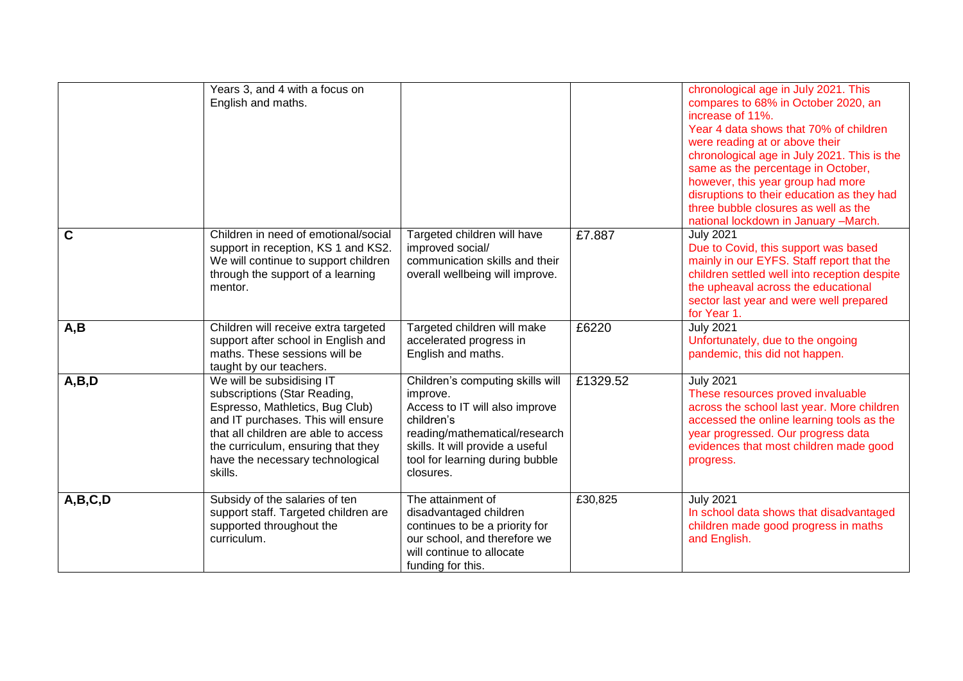|         | Years 3, and 4 with a focus on<br>English and maths.                                                                                                                                                                                                            |                                                                                                                                                                                                                   |          | chronological age in July 2021. This<br>compares to 68% in October 2020, an<br>increase of 11%.<br>Year 4 data shows that 70% of children<br>were reading at or above their<br>chronological age in July 2021. This is the<br>same as the percentage in October,<br>however, this year group had more<br>disruptions to their education as they had<br>three bubble closures as well as the<br>national lockdown in January -March. |
|---------|-----------------------------------------------------------------------------------------------------------------------------------------------------------------------------------------------------------------------------------------------------------------|-------------------------------------------------------------------------------------------------------------------------------------------------------------------------------------------------------------------|----------|-------------------------------------------------------------------------------------------------------------------------------------------------------------------------------------------------------------------------------------------------------------------------------------------------------------------------------------------------------------------------------------------------------------------------------------|
| C       | Children in need of emotional/social<br>support in reception, KS 1 and KS2.<br>We will continue to support children<br>through the support of a learning<br>mentor.                                                                                             | Targeted children will have<br>improved social/<br>communication skills and their<br>overall wellbeing will improve.                                                                                              | £7.887   | <b>July 2021</b><br>Due to Covid, this support was based<br>mainly in our EYFS. Staff report that the<br>children settled well into reception despite<br>the upheaval across the educational<br>sector last year and were well prepared<br>for Year 1.                                                                                                                                                                              |
| A,B     | Children will receive extra targeted<br>support after school in English and<br>maths. These sessions will be<br>taught by our teachers.                                                                                                                         | Targeted children will make<br>accelerated progress in<br>English and maths.                                                                                                                                      | £6220    | <b>July 2021</b><br>Unfortunately, due to the ongoing<br>pandemic, this did not happen.                                                                                                                                                                                                                                                                                                                                             |
| A,B,D   | We will be subsidising IT<br>subscriptions (Star Reading,<br>Espresso, Mathletics, Bug Club)<br>and IT purchases. This will ensure<br>that all children are able to access<br>the curriculum, ensuring that they<br>have the necessary technological<br>skills. | Children's computing skills will<br>improve.<br>Access to IT will also improve<br>children's<br>reading/mathematical/research<br>skills. It will provide a useful<br>tool for learning during bubble<br>closures. | £1329.52 | <b>July 2021</b><br>These resources proved invaluable<br>across the school last year. More children<br>accessed the online learning tools as the<br>year progressed. Our progress data<br>evidences that most children made good<br>progress.                                                                                                                                                                                       |
| A,B,C,D | Subsidy of the salaries of ten<br>support staff. Targeted children are<br>supported throughout the<br>curriculum.                                                                                                                                               | The attainment of<br>disadvantaged children<br>continues to be a priority for<br>our school, and therefore we<br>will continue to allocate<br>funding for this.                                                   | £30,825  | <b>July 2021</b><br>In school data shows that disadvantaged<br>children made good progress in maths<br>and English.                                                                                                                                                                                                                                                                                                                 |